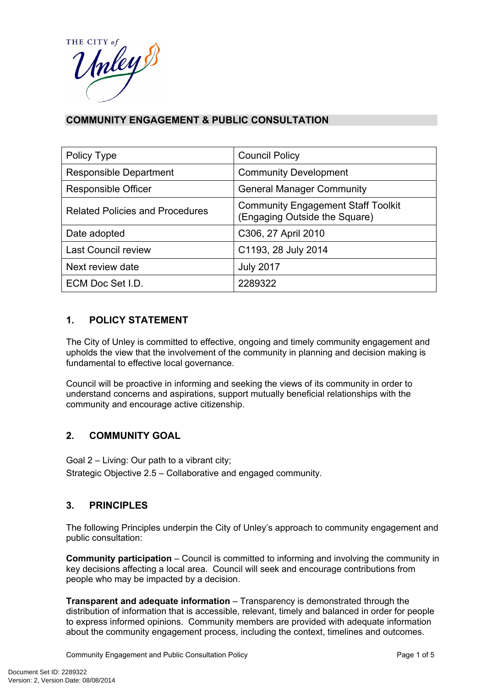

## **COMMUNITY ENGAGEMENT & PUBLIC CONSULTATION**

| Policy Type                            | <b>Council Policy</b>                                                      |  |
|----------------------------------------|----------------------------------------------------------------------------|--|
| <b>Responsible Department</b>          | <b>Community Development</b>                                               |  |
| <b>Responsible Officer</b>             | <b>General Manager Community</b>                                           |  |
| <b>Related Policies and Procedures</b> | <b>Community Engagement Staff Toolkit</b><br>(Engaging Outside the Square) |  |
| Date adopted                           | C306, 27 April 2010                                                        |  |
| <b>Last Council review</b>             | C1193, 28 July 2014                                                        |  |
| Next review date                       | <b>July 2017</b>                                                           |  |
| ECM Doc Set I.D.                       | 2289322                                                                    |  |

### **1. POLICY STATEMENT**

The City of Unley is committed to effective, ongoing and timely community engagement and upholds the view that the involvement of the community in planning and decision making is fundamental to effective local governance.

Council will be proactive in informing and seeking the views of its community in order to understand concerns and aspirations, support mutually beneficial relationships with the community and encourage active citizenship.

#### **2. COMMUNITY GOAL**

Goal 2 – Living: Our path to a vibrant city;

Strategic Objective 2.5 – Collaborative and engaged community.

#### **3. PRINCIPLES**

The following Principles underpin the City of Unley's approach to community engagement and public consultation:

**Community participation** – Council is committed to informing and involving the community in key decisions affecting a local area. Council will seek and encourage contributions from people who may be impacted by a decision.

**Transparent and adequate information** – Transparency is demonstrated through the distribution of information that is accessible, relevant, timely and balanced in order for people to express informed opinions. Community members are provided with adequate information about the community engagement process, including the context, timelines and outcomes.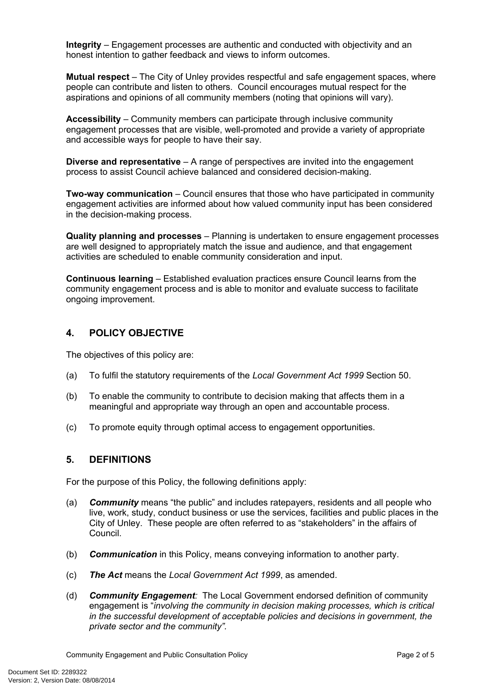**Integrity** – Engagement processes are authentic and conducted with objectivity and an honest intention to gather feedback and views to inform outcomes.

**Mutual respect** – The City of Unley provides respectful and safe engagement spaces, where people can contribute and listen to others. Council encourages mutual respect for the aspirations and opinions of all community members (noting that opinions will vary).

**Accessibility** – Community members can participate through inclusive community engagement processes that are visible, well-promoted and provide a variety of appropriate and accessible ways for people to have their say.

**Diverse and representative** – A range of perspectives are invited into the engagement process to assist Council achieve balanced and considered decision-making.

**Two-way communication** – Council ensures that those who have participated in community engagement activities are informed about how valued community input has been considered in the decision-making process.

**Quality planning and processes** – Planning is undertaken to ensure engagement processes are well designed to appropriately match the issue and audience, and that engagement activities are scheduled to enable community consideration and input.

**Continuous learning** – Established evaluation practices ensure Council learns from the community engagement process and is able to monitor and evaluate success to facilitate ongoing improvement.

### **4. POLICY OBJECTIVE**

The objectives of this policy are:

- (a) To fulfil the statutory requirements of the *Local Government Act 1999* Section 50.
- (b) To enable the community to contribute to decision making that affects them in a meaningful and appropriate way through an open and accountable process.
- (c) To promote equity through optimal access to engagement opportunities.

#### **5. DEFINITIONS**

For the purpose of this Policy, the following definitions apply:

- (a) *Community* means "the public" and includes ratepayers, residents and all people who live, work, study, conduct business or use the services, facilities and public places in the City of Unley. These people are often referred to as "stakeholders" in the affairs of Council.
- (b) *Communication* in this Policy, means conveying information to another party.
- (c) *The Act* means the *Local Government Act 1999*, as amended.
- (d) *Community Engagement:* The Local Government endorsed definition of community engagement is "*involving the community in decision making processes, which is critical in the successful development of acceptable policies and decisions in government, the private sector and the community".*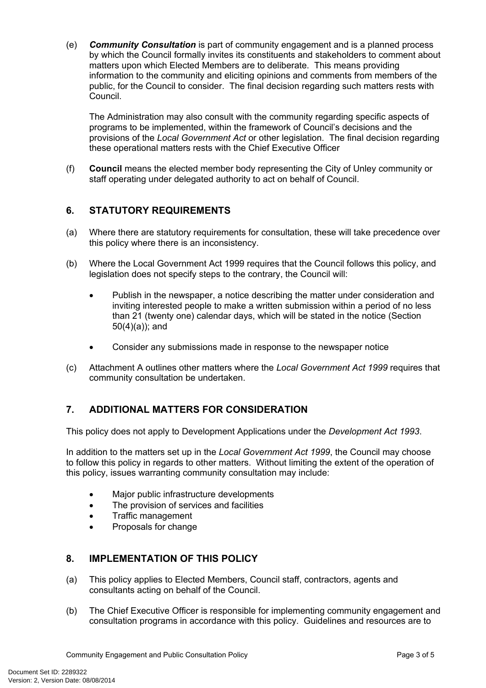(e) *Community Consultation* is part of community engagement and is a planned process by which the Council formally invites its constituents and stakeholders to comment about matters upon which Elected Members are to deliberate. This means providing information to the community and eliciting opinions and comments from members of the public, for the Council to consider. The final decision regarding such matters rests with Council.

The Administration may also consult with the community regarding specific aspects of programs to be implemented, within the framework of Council's decisions and the provisions of the *Local Government Act* or other legislation. The final decision regarding these operational matters rests with the Chief Executive Officer

(f) **Council** means the elected member body representing the City of Unley community or staff operating under delegated authority to act on behalf of Council.

## **6. STATUTORY REQUIREMENTS**

- (a) Where there are statutory requirements for consultation, these will take precedence over this policy where there is an inconsistency.
- (b) Where the Local Government Act 1999 requires that the Council follows this policy, and legislation does not specify steps to the contrary, the Council will:
	- Publish in the newspaper, a notice describing the matter under consideration and inviting interested people to make a written submission within a period of no less than 21 (twenty one) calendar days, which will be stated in the notice (Section 50(4)(a)); and
	- Consider any submissions made in response to the newspaper notice
- (c) Attachment A outlines other matters where the *Local Government Act 1999* requires that community consultation be undertaken.

## **7. ADDITIONAL MATTERS FOR CONSIDERATION**

This policy does not apply to Development Applications under the *Development Act 1993*.

In addition to the matters set up in the *Local Government Act 1999*, the Council may choose to follow this policy in regards to other matters. Without limiting the extent of the operation of this policy, issues warranting community consultation may include:

- Major public infrastructure developments
- The provision of services and facilities
- Traffic management
- Proposals for change

#### **8. IMPLEMENTATION OF THIS POLICY**

- (a) This policy applies to Elected Members, Council staff, contractors, agents and consultants acting on behalf of the Council.
- (b) The Chief Executive Officer is responsible for implementing community engagement and consultation programs in accordance with this policy. Guidelines and resources are to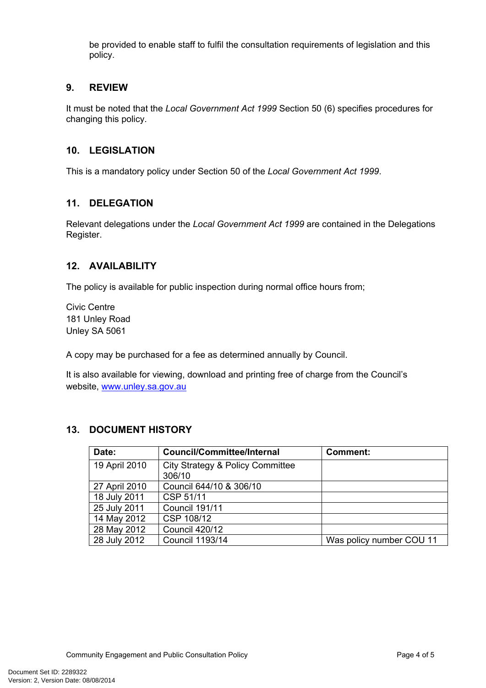be provided to enable staff to fulfil the consultation requirements of legislation and this policy.

#### **9. REVIEW**

It must be noted that the *Local Government Act 1999* Section 50 (6) specifies procedures for changing this policy.

#### **10. LEGISLATION**

This is a mandatory policy under Section 50 of the *Local Government Act 1999*.

#### **11. DELEGATION**

Relevant delegations under the *Local Government Act 1999* are contained in the Delegations Register.

#### **12. AVAILABILITY**

The policy is available for public inspection during normal office hours from;

Civic Centre 181 Unley Road Unley SA 5061

A copy may be purchased for a fee as determined annually by Council.

It is also available for viewing, download and printing free of charge from the Council's website, [www.unley.sa.gov.au](http://www.unley.sa.gov.au/)

#### **13. DOCUMENT HISTORY**

| Date:         | Council/Committee/Internal                 | <b>Comment:</b>          |
|---------------|--------------------------------------------|--------------------------|
| 19 April 2010 | City Strategy & Policy Committee<br>306/10 |                          |
| 27 April 2010 | Council 644/10 & 306/10                    |                          |
| 18 July 2011  | CSP 51/11                                  |                          |
| 25 July 2011  | Council 191/11                             |                          |
| 14 May 2012   | CSP 108/12                                 |                          |
| 28 May 2012   | Council 420/12                             |                          |
| 28 July 2012  | Council 1193/14                            | Was policy number COU 11 |